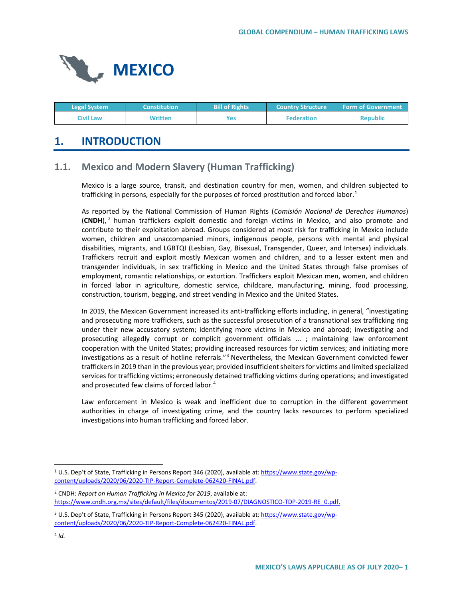

| <b>Legal System</b> | <b>Constitution</b> | <b>Bill of Rights</b> | <b>Country Structure</b> | <b>Form of Government</b> |
|---------------------|---------------------|-----------------------|--------------------------|---------------------------|
| Civil Law           | Written             | Yes                   | <b>Federation</b>        | <b>Republic</b>           |

# **1. INTRODUCTION**

## **1.1. Mexico and Modern Slavery (Human Trafficking)**

Mexico is a large source, transit, and destination country for men, women, and children subjected to trafficking in persons, especially for the purposes of forced prostitution and forced labor.<sup>[1](#page-0-0)</sup>

As reported by the National Commission of Human Rights (*Comisión Nacional de Derechos Humanos*) (**CNDH**), [2](#page-0-1) human traffickers exploit domestic and foreign victims in Mexico, and also promote and contribute to their exploitation abroad. Groups considered at most risk for trafficking in Mexico include women, children and unaccompanied minors, indigenous people, persons with mental and physical disabilities, migrants, and LGBTQI (Lesbian, Gay, Bisexual, Transgender, Queer, and Intersex) individuals. Traffickers recruit and exploit mostly Mexican women and children, and to a lesser extent men and transgender individuals, in sex trafficking in Mexico and the United States through false promises of employment, romantic relationships, or extortion. Traffickers exploit Mexican men, women, and children in forced labor in agriculture, domestic service, childcare, manufacturing, mining, food processing, construction, tourism, begging, and street vending in Mexico and the United States.

In 2019, the Mexican Government increased its anti-trafficking efforts including, in general, "investigating and prosecuting more traffickers, such as the successful prosecution of a transnational sex trafficking ring under their new accusatory system; identifying more victims in Mexico and abroad; investigating and prosecuting allegedly corrupt or complicit government officials ... ; maintaining law enforcement cooperation with the United States; providing increased resources for victim services; and initiating more investigations as a result of hotline referrals."[3](#page-0-2) Nevertheless, the Mexican Government convicted fewer traffickers in 2019 than in the previous year; provided insufficient shelters for victims and limited specialized services for trafficking victims; erroneously detained trafficking victims during operations; and investigated and prosecuted few claims of forced labor.<sup>[4](#page-0-3)</sup>

Law enforcement in Mexico is weak and inefficient due to corruption in the different government authorities in charge of investigating crime, and the country lacks resources to perform specialized investigations into human trafficking and forced labor.

<span id="page-0-0"></span><sup>&</sup>lt;sup>1</sup> U.S. Dep't of State, Trafficking in Persons Report 346 (2020), available at[: https://www.state.gov/wp](https://www.state.gov/wp-content/uploads/2020/06/2020-TIP-Report-Complete-062420-FINAL.pdf)[content/uploads/2020/06/2020-TIP-Report-Complete-062420-FINAL.pdf.](https://www.state.gov/wp-content/uploads/2020/06/2020-TIP-Report-Complete-062420-FINAL.pdf) 

<span id="page-0-1"></span><sup>2</sup> CNDH: *Report on Human Trafficking in Mexico for 2019*, available at: [https://www.cndh.org.mx/sites/default/files/documentos/2019-07/DIAGNOSTICO-TDP-2019-RE\\_0.pdf.](https://www.cndh.org.mx/sites/default/files/documentos/2019-07/DIAGNOSTICO-TDP-2019-RE_0.pdf)

<span id="page-0-3"></span><span id="page-0-2"></span><sup>3</sup> U.S. Dep't of State, Trafficking in Persons Report 345 (2020), available at[: https://www.state.gov/wp](https://www.state.gov/wp-content/uploads/2020/06/2020-TIP-Report-Complete-062420-FINAL.pdf)[content/uploads/2020/06/2020-TIP-Report-Complete-062420-FINAL.pdf.](https://www.state.gov/wp-content/uploads/2020/06/2020-TIP-Report-Complete-062420-FINAL.pdf)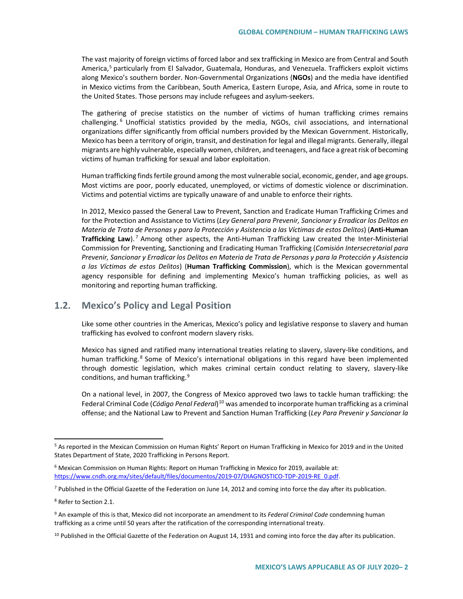The vast majority of foreign victims of forced labor and sex trafficking in Mexico are from Central and South America,<sup>[5](#page-1-0)</sup> particularly from El Salvador, Guatemala, Honduras, and Venezuela. Traffickers exploit victims along Mexico's southern border. Non-Governmental Organizations (**NGOs**) and the media have identified in Mexico victims from the Caribbean, South America, Eastern Europe, Asia, and Africa, some in route to the United States. Those persons may include refugees and asylum-seekers.

The gathering of precise statistics on the number of victims of human trafficking crimes remains challenging. [6](#page-1-1) Unofficial statistics provided by the media, NGOs, civil associations, and international organizations differ significantly from official numbers provided by the Mexican Government. Historically, Mexico has been a territory of origin, transit, and destination for legal and illegal migrants. Generally, illegal migrants are highly vulnerable, especially women, children, and teenagers, and face a great risk of becoming victims of human trafficking for sexual and labor exploitation.

Human trafficking finds fertile ground among the most vulnerable social, economic, gender, and age groups. Most victims are poor, poorly educated, unemployed, or victims of domestic violence or discrimination. Victims and potential victims are typically unaware of and unable to enforce their rights.

In 2012, Mexico passed the General Law to Prevent, Sanction and Eradicate Human Trafficking Crimes and for the Protection and Assistance to Victims (*Ley General para Prevenir, Sancionar y Erradicar los Delitos en Materia de Trata de Personas y para la Protección y Asistencia a las Víctimas de estos Delitos*) (**Anti-Human Trafficking Law**). [7](#page-1-2) Among other aspects, the Anti-Human Trafficking Law created the Inter-Ministerial Commission for Preventing, Sanctioning and Eradicating Human Trafficking (*Comisión Intersecretarial para Prevenir, Sancionar y Erradicar los Delitos en Materia de Trata de Personas y para la Protección y Asistencia a las Víctimas de estos Delitos*) (**Human Trafficking Commission**), which is the Mexican governmental agency responsible for defining and implementing Mexico's human trafficking policies, as well as monitoring and reporting human trafficking.

## **1.2. Mexico's Policy and Legal Position**

Like some other countries in the Americas, Mexico's policy and legislative response to slavery and human trafficking has evolved to confront modern slavery risks.

Mexico has signed and ratified many international treaties relating to slavery, slavery-like conditions, and human trafficking.<sup>[8](#page-1-3)</sup> Some of Mexico's international obligations in this regard have been implemented through domestic legislation, which makes criminal certain conduct relating to slavery, slavery-like conditions, and human trafficking.<sup>[9](#page-1-4)</sup>

On a national level, in 2007, the Congress of Mexico approved two laws to tackle human trafficking: the Federal Criminal Code (*Código Penal Federal*)[10](#page-1-5) was amended to incorporate human trafficking as a criminal offense; and the National Law to Prevent and Sanction Human Trafficking (*Ley Para Prevenir y Sancionar la* 

<span id="page-1-0"></span> <sup>5</sup> As reported in the Mexican Commission on Human Rights' Report on Human Trafficking in Mexico for 2019 and in the United States Department of State, 2020 Trafficking in Persons Report.

<span id="page-1-1"></span><sup>6</sup> Mexican Commission on Human Rights: Report on Human Trafficking in Mexico for 2019, available at: [https://www.cndh.org.mx/sites/default/files/documentos/2019-07/DIAGNOSTICO-TDP-2019-RE\\_0.pdf.](https://www.cndh.org.mx/sites/default/files/documentos/2019-07/DIAGNOSTICO-TDP-2019-RE_0.pdf)

<span id="page-1-2"></span> $7$  Published in the Official Gazette of the Federation on June 14, 2012 and coming into force the day after its publication.

<span id="page-1-3"></span><sup>8</sup> Refer to Section 2.1.

<span id="page-1-4"></span><sup>9</sup> An example of this is that, Mexico did not incorporate an amendment to its *Federal Criminal Code* condemning human trafficking as a crime until 50 years after the ratification of the corresponding international treaty.

<span id="page-1-5"></span><sup>&</sup>lt;sup>10</sup> Published in the Official Gazette of the Federation on August 14, 1931 and coming into force the day after its publication.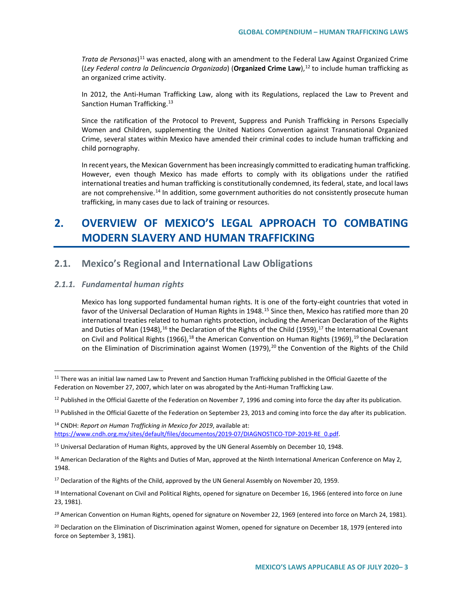*Trata de Personas*) [11](#page-2-0) was enacted, along with an amendment to the Federal Law Against Organized Crime (*Ley Federal contra la Delincuencia Organizada*) (**Organized Crime Law**),[12](#page-2-1) to include human trafficking as an organized crime activity.

In 2012, the Anti-Human Trafficking Law, along with its Regulations, replaced the Law to Prevent and Sanction Human Trafficking.<sup>[13](#page-2-2)</sup>

Since the ratification of the Protocol to Prevent, Suppress and Punish Trafficking in Persons Especially Women and Children, supplementing the United Nations Convention against Transnational Organized Crime, several states within Mexico have amended their criminal codes to include human trafficking and child pornography.

In recent years, the Mexican Government has been increasingly committed to eradicating human trafficking. However, even though Mexico has made efforts to comply with its obligations under the ratified international treaties and human trafficking is constitutionally condemned, its federal, state, and local laws are not comprehensive.<sup>[14](#page-2-3)</sup> In addition, some government authorities do not consistently prosecute human trafficking, in many cases due to lack of training or resources.

# **2. OVERVIEW OF MEXICO'S LEGAL APPROACH TO COMBATING MODERN SLAVERY AND HUMAN TRAFFICKING**

## **2.1. Mexico's Regional and International Law Obligations**

### *2.1.1. Fundamental human rights*

Mexico has long supported fundamental human rights. It is one of the forty-eight countries that voted in favor of the Universal Declaration of Human Rights in 1948.<sup>[15](#page-2-4)</sup> Since then, Mexico has ratified more than 20 international treaties related to human rights protection, including the American Declaration of the Rights and Duties of Man (1948),<sup>[16](#page-2-5)</sup> the Declaration of the Rights of the Child (1959),<sup>[17](#page-2-6)</sup> the International Covenant on Civil and Political Rights ([19](#page-2-8)66),  $^{18}$  $^{18}$  $^{18}$  the American Convention on Human Rights (1969),  $^{19}$  the Declaration on the Elimination of Discrimination against Women (1979),<sup>[20](#page-2-9)</sup> the Convention of the Rights of the Child

<span id="page-2-0"></span><sup>&</sup>lt;sup>11</sup> There was an initial law named Law to Prevent and Sanction Human Trafficking published in the Official Gazette of the Federation on November 27, 2007, which later on was abrogated by the Anti-Human Trafficking Law.

<span id="page-2-1"></span><sup>&</sup>lt;sup>12</sup> Published in the Official Gazette of the Federation on November 7, 1996 and coming into force the day after its publication.

<span id="page-2-2"></span><sup>&</sup>lt;sup>13</sup> Published in the Official Gazette of the Federation on September 23, 2013 and coming into force the day after its publication.

<span id="page-2-3"></span><sup>14</sup> CNDH: *Report on Human Trafficking in Mexico for 2019*, available at: [https://www.cndh.org.mx/sites/default/files/documentos/2019-07/DIAGNOSTICO-TDP-2019-RE\\_0.pdf.](https://www.cndh.org.mx/sites/default/files/documentos/2019-07/DIAGNOSTICO-TDP-2019-RE_0.pdf)

<span id="page-2-4"></span><sup>&</sup>lt;sup>15</sup> Universal Declaration of Human Rights, approved by the UN General Assembly on December 10, 1948.

<span id="page-2-5"></span><sup>&</sup>lt;sup>16</sup> American Declaration of the Rights and Duties of Man, approved at the Ninth International American Conference on May 2, 1948.

<span id="page-2-6"></span> $17$  Declaration of the Rights of the Child, approved by the UN General Assembly on November 20, 1959.

<span id="page-2-7"></span><sup>&</sup>lt;sup>18</sup> International Covenant on Civil and Political Rights, opened for signature on December 16, 1966 (entered into force on June 23, 1981).

<span id="page-2-8"></span>*<sup>19</sup>* American Convention on Human Rights, opened for signature on November 22, 1969 (entered into force on March 24, 1981).

<span id="page-2-9"></span><sup>&</sup>lt;sup>20</sup> Declaration on the Elimination of Discrimination against Women, opened for signature on December 18, 1979 (entered into force on September 3, 1981).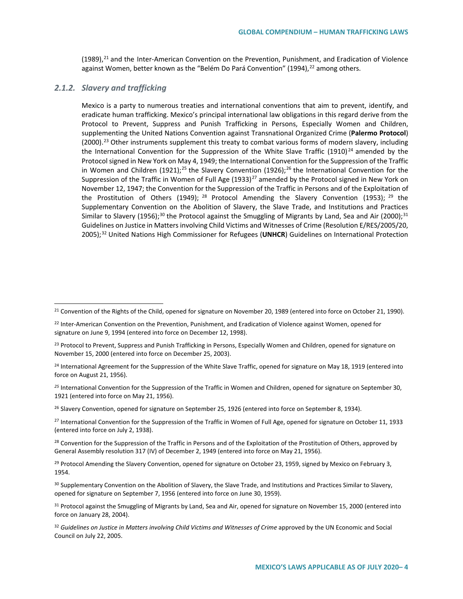$(1989)$ ,<sup>[21](#page-3-0)</sup> and the Inter-American Convention on the Prevention, Punishment, and Eradication of Violence against Women, better known as the "Belém Do Pará Convention" (1994),<sup>[22](#page-3-1)</sup> among others.

### *2.1.2. Slavery and trafficking*

Mexico is a party to numerous treaties and international conventions that aim to prevent, identify, and eradicate human trafficking. Mexico's principal international law obligations in this regard derive from the Protocol to Prevent, Suppress and Punish Trafficking in Persons, Especially Women and Children, supplementing the United Nations Convention against Transnational Organized Crime (**Palermo Protocol**)  $(2000).$ <sup>[23](#page-3-2)</sup> Other instruments supplement this treaty to combat various forms of modern slavery, including the International Convention for the Suppression of the White Slave Traffic (1910)<sup>[24](#page-3-3)</sup> amended by the Protocol signed in New York on May 4, 1949; the International Convention for the Suppression of the Traffic in Women and Children (1921);<sup>[25](#page-3-4)</sup> the Slavery Convention (19[26](#page-3-5));<sup>26</sup> the International Convention for the Suppression of the Traffic in Women of Full Age (1933)<sup>[27](#page-3-6)</sup> amended by the Protocol signed in New York on November 12, 1947; the Convention for the Suppression of the Traffic in Persons and of the Exploitation of the Prostitution of Others (1949); <sup>[28](#page-3-7)</sup> Protocol Amending the Slavery Convention (1953); <sup>[29](#page-3-8)</sup> the Supplementary Convention on the Abolition of Slavery, the Slave Trade, and Institutions and Practices Similar to Slavery (1956);<sup>[30](#page-3-9)</sup> the Protocol against the Smuggling of Migrants by Land, Sea and Air (2000);<sup>[31](#page-3-10)</sup> Guidelines on Justice in Matters involving Child Victims and Witnesses of Crime (Resolution E/RES/2005/20, 2005);[32](#page-3-11) United Nations High Commissioner for Refugees (**UNHCR**) Guidelines on International Protection

<span id="page-3-1"></span><span id="page-3-0"></span><sup>&</sup>lt;sup>21</sup> Convention of the Rights of the Child, opened for signature on November 20, 1989 (entered into force on October 21, 1990).

<span id="page-3-2"></span><sup>&</sup>lt;sup>22</sup> Inter-American Convention on the Prevention, Punishment, and Eradication of Violence against Women, opened for signature on June 9, 1994 (entered into force on December 12, 1998).

<span id="page-3-3"></span><sup>&</sup>lt;sup>23</sup> Protocol to Prevent, Suppress and Punish Trafficking in Persons, Especially Women and Children, opened for signature on November 15, 2000 (entered into force on December 25, 2003).

<span id="page-3-4"></span><sup>&</sup>lt;sup>24</sup> International Agreement for the Suppression of the White Slave Traffic, opened for signature on May 18, 1919 (entered into force on August 21, 1956).

<span id="page-3-5"></span>*<sup>25</sup>* International Convention for the Suppression of the Traffic in Women and Children, opened for signature on September 30, 1921 (entered into force on May 21, 1956).

<span id="page-3-6"></span><sup>&</sup>lt;sup>26</sup> Slavery Convention, opened for signature on September 25, 1926 (entered into force on September 8, 1934).

<span id="page-3-7"></span> $27$  International Convention for the Suppression of the Traffic in Women of Full Age, opened for signature on October 11, 1933 (entered into force on July 2, 1938).

<span id="page-3-8"></span><sup>&</sup>lt;sup>28</sup> Convention for the Suppression of the Traffic in Persons and of the Exploitation of the Prostitution of Others, approved by General Assembly resolution 317 (IV) of December 2, 1949 (entered into force on May 21, 1956).

<span id="page-3-9"></span> $29$  Protocol Amending the Slavery Convention, opened for signature on October 23, 1959, signed by Mexico on February 3, 1954.

<span id="page-3-10"></span><sup>&</sup>lt;sup>30</sup> Supplementary Convention on the Abolition of Slavery, the Slave Trade, and Institutions and Practices Similar to Slavery, opened for signature on September 7, 1956 (entered into force on June 30, 1959).

<span id="page-3-11"></span><sup>&</sup>lt;sup>31</sup> Protocol against the Smuggling of Migrants by Land, Sea and Air, opened for signature on November 15, 2000 (entered into force on January 28, 2004).

<sup>32</sup> *Guidelines on Justice in Matters involving Child Victims and Witnesses of Crime* approved by the UN Economic and Social Council on July 22, 2005.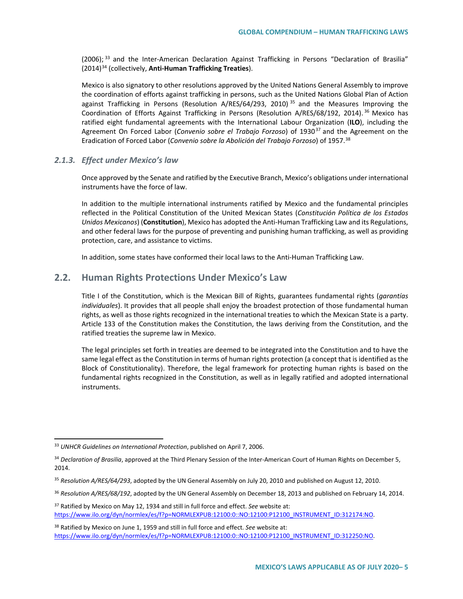$(2006)$ ; <sup>[33](#page-4-0)</sup> and the Inter-American Declaration Against Trafficking in Persons "Declaration of Brasilia" (2014)[34](#page-4-1) (collectively, **Anti-Human Trafficking Treaties**).

Mexico is also signatory to other resolutions approved by the United Nations General Assembly to improve the coordination of efforts against trafficking in persons, such as the United Nations Global Plan of Action against Trafficking in Persons (Resolution A/RES/64/293, 2010)<sup>[35](#page-4-2)</sup> and the Measures Improving the Coordination of Efforts Against Trafficking in Persons (Resolution A/RES/68/192, 2014). [36](#page-4-3) Mexico has ratified eight fundamental agreements with the International Labour Organization (**ILO**), including the Agreement On Forced Labor (*Convenio sobre el Trabajo Forzoso*) of 1930[37](#page-4-4) and the Agreement on the Eradication of Forced Labor (*Convenio sobre la Abolición del Trabajo Forzoso*) of 1957.[38](#page-4-5)

### *2.1.3. Effect under Mexico's law*

Once approved by the Senate and ratified by the Executive Branch, Mexico's obligations under international instruments have the force of law.

In addition to the multiple international instruments ratified by Mexico and the fundamental principles reflected in the Political Constitution of the United Mexican States (*Constitución Política de los Estados Unidos Mexicanos*) (**Constitution**), Mexico has adopted the Anti-Human Trafficking Law and its Regulations, and other federal laws for the purpose of preventing and punishing human trafficking, as well as providing protection, care, and assistance to victims.

In addition, some states have conformed their local laws to the Anti-Human Trafficking Law.

## **2.2. Human Rights Protections Under Mexico's Law**

Title I of the Constitution, which is the Mexican Bill of Rights, guarantees fundamental rights (*garantías individuales*). It provides that all people shall enjoy the broadest protection of those fundamental human rights, as well as those rights recognized in the international treaties to which the Mexican State is a party. Article 133 of the Constitution makes the Constitution, the laws deriving from the Constitution, and the ratified treaties the supreme law in Mexico.

The legal principles set forth in treaties are deemed to be integrated into the Constitution and to have the same legal effect as the Constitution in terms of human rights protection (a concept that is identified as the Block of Constitutionality). Therefore, the legal framework for protecting human rights is based on the fundamental rights recognized in the Constitution, as well as in legally ratified and adopted international instruments.

 <sup>33</sup> *UNHCR Guidelines on International Protection*, published on April 7, 2006.

<span id="page-4-1"></span><sup>34</sup> *Declaration of Brasilia*, approved at the Third Plenary Session of the Inter-American Court of Human Rights on December 5, 2014.

<span id="page-4-2"></span><sup>35</sup> *Resolution A/RES/64/293*, adopted by the UN General Assembly on July 20, 2010 and published on August 12, 2010.

<span id="page-4-3"></span><sup>36</sup> *Resolution A/RES/68/192*, adopted by the UN General Assembly on December 18, 2013 and published on February 14, 2014.

<span id="page-4-4"></span><sup>37</sup> Ratified by Mexico on May 12, 1934 and still in full force and effect. *See* website at: https://www.ilo.org/dyn/normlex/es/f?p=NORMLEXPUB:12100:0::NO:12100:P12100\_INSTRUMENT\_ID:312174:NO.

<span id="page-4-5"></span><span id="page-4-0"></span><sup>38</sup> Ratified by Mexico on June 1, 1959 and still in full force and effect. *See* website at: https://www.ilo.org/dyn/normlex/es/f?p=NORMLEXPUB:12100:0::NO:12100:P12100\_INSTRUMENT\_ID:312250:NO.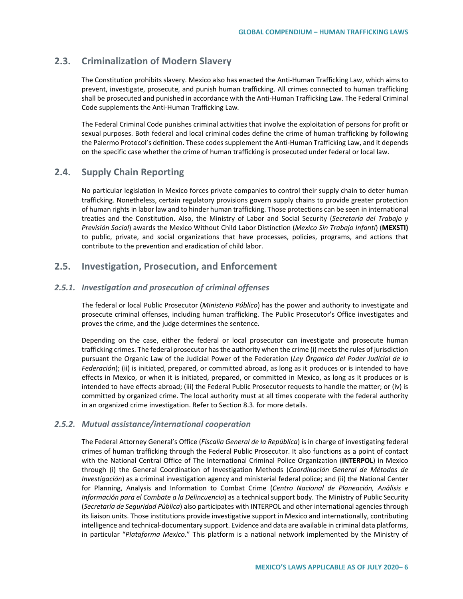## **2.3. Criminalization of Modern Slavery**

The Constitution prohibits slavery. Mexico also has enacted the Anti-Human Trafficking Law, which aims to prevent, investigate, prosecute, and punish human trafficking. All crimes connected to human trafficking shall be prosecuted and punished in accordance with the Anti-Human Trafficking Law. The Federal Criminal Code supplements the Anti-Human Trafficking Law*.*

The Federal Criminal Code punishes criminal activities that involve the exploitation of persons for profit or sexual purposes. Both federal and local criminal codes define the crime of human trafficking by following the Palermo Protocol's definition. These codes supplement the Anti-Human Trafficking Law, and it depends on the specific case whether the crime of human trafficking is prosecuted under federal or local law.

## **2.4. Supply Chain Reporting**

No particular legislation in Mexico forces private companies to control their supply chain to deter human trafficking. Nonetheless, certain regulatory provisions govern supply chains to provide greater protection of human rights in labor law and to hinder human trafficking. Those protections can be seen in international treaties and the Constitution. Also, the Ministry of Labor and Social Security (*Secretaría del Trabajo y Previsión Social*) awards the Mexico Without Child Labor Distinction (*Mexico Sin Trabajo Infanti*) (**MEXSTI)**  to public, private, and social organizations that have processes, policies, programs, and actions that contribute to the prevention and eradication of child labor.

## **2.5. Investigation, Prosecution, and Enforcement**

### *2.5.1. Investigation and prosecution of criminal offenses*

The federal or local Public Prosecutor (*Ministerio Público*) has the power and authority to investigate and prosecute criminal offenses, including human trafficking. The Public Prosecutor's Office investigates and proves the crime, and the judge determines the sentence.

Depending on the case, either the federal or local prosecutor can investigate and prosecute human trafficking crimes. The federal prosecutor has the authority when the crime (i) meets the rules of jurisdiction pursuant the Organic Law of the Judicial Power of the Federation (*Ley Órganica del Poder Judicial de la Federación*); (ii) is initiated, prepared, or committed abroad, as long as it produces or is intended to have effects in Mexico, or when it is initiated, prepared, or committed in Mexico, as long as it produces or is intended to have effects abroad; (iii) the Federal Public Prosecutor requests to handle the matter; or (iv) is committed by organized crime. The local authority must at all times cooperate with the federal authority in an organized crime investigation. Refer to Section 8.3. for more details.

### *2.5.2. Mutual assistance/international cooperation*

The Federal Attorney General's Office (*Fiscalía General de la República*) is in charge of investigating federal crimes of human trafficking through the Federal Public Prosecutor. It also functions as a point of contact with the National Central Office of The International Criminal Police Organization (**INTERPOL**) in Mexico through (i) the General Coordination of Investigation Methods (*Coordinación General de Métodos de Investigación*) as a criminal investigation agency and ministerial federal police; and (ii) the National Center for Planning, Analysis and Information to Combat Crime (*Centro Nacional de Planeación, Análisis e Información para el Combate a la Delincuencia*) as a technical support body. The Ministry of Public Security (*Secretaría de Seguridad Pública*) also participates with INTERPOL and other international agencies through its liaison units. Those institutions provide investigative support in Mexico and internationally, contributing intelligence and technical-documentary support. Evidence and data are available in criminal data platforms, in particular "*Plataforma Mexico.*" This platform is a national network implemented by the Ministry of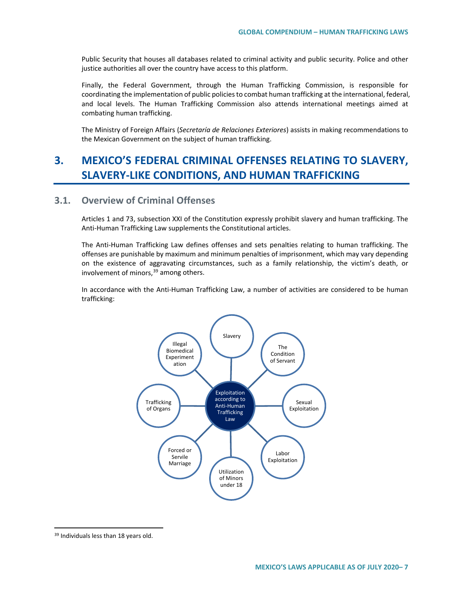Public Security that houses all databases related to criminal activity and public security. Police and other justice authorities all over the country have access to this platform.

Finally, the Federal Government, through the Human Trafficking Commission, is responsible for coordinating the implementation of public policies to combat human trafficking at the international, federal, and local levels. The Human Trafficking Commission also attends international meetings aimed at combating human trafficking.

The Ministry of Foreign Affairs (*Secretaría de Relaciones Exteriores*) assists in making recommendations to the Mexican Government on the subject of human trafficking.

# **3. MEXICO'S FEDERAL CRIMINAL OFFENSES RELATING TO SLAVERY, SLAVERY-LIKE CONDITIONS, AND HUMAN TRAFFICKING**

## **3.1. Overview of Criminal Offenses**

Articles 1 and 73, subsection XXI of the Constitution expressly prohibit slavery and human trafficking. The Anti-Human Trafficking Law supplements the Constitutional articles.

The Anti-Human Trafficking Law defines offenses and sets penalties relating to human trafficking. The offenses are punishable by maximum and minimum penalties of imprisonment, which may vary depending on the existence of aggravating circumstances, such as a family relationship, the victim's death, or involvement of minors,  $39$  among others.

In accordance with the Anti-Human Trafficking Law, a number of activities are considered to be human trafficking:



<span id="page-6-0"></span><sup>39</sup> Individuals less than 18 years old.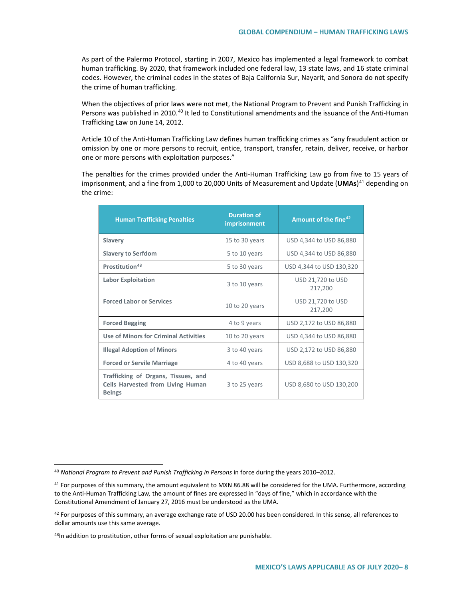As part of the Palermo Protocol, starting in 2007, Mexico has implemented a legal framework to combat human trafficking. By 2020, that framework included one federal law, 13 state laws, and 16 state criminal codes. However, the criminal codes in the states of Baja California Sur, Nayarit, and Sonora do not specify the crime of human trafficking.

When the objectives of prior laws were not met, the National Program to Prevent and Punish Trafficking in Persons was published in 2010.<sup>[40](#page-7-0)</sup> It led to Constitutional amendments and the issuance of the Anti-Human Trafficking Law on June 14, 2012.

Article 10 of the Anti-Human Trafficking Law defines human trafficking crimes as "any fraudulent action or omission by one or more persons to recruit, entice, transport, transfer, retain, deliver, receive, or harbor one or more persons with exploitation purposes."

The penalties for the crimes provided under the Anti-Human Trafficking Law go from five to 15 years of imprisonment, and a fine from 1,000 to 20,000 Units of Measurement and Update (UMAs)<sup>[41](#page-7-1)</sup> depending on the crime:

| <b>Human Trafficking Penalties</b>                                                               | <b>Duration of</b><br>imprisonment | Amount of the fine <sup>42</sup> |
|--------------------------------------------------------------------------------------------------|------------------------------------|----------------------------------|
| <b>Slavery</b>                                                                                   | 15 to 30 years                     | USD 4,344 to USD 86,880          |
| <b>Slavery to Serfdom</b>                                                                        | 5 to 10 years                      | USD 4,344 to USD 86,880          |
| Prostitution <sup>43</sup>                                                                       | 5 to 30 years                      | USD 4,344 to USD 130,320         |
| <b>Labor Exploitation</b>                                                                        | 3 to 10 years                      | USD 21,720 to USD<br>217,200     |
| <b>Forced Labor or Services</b>                                                                  | 10 to 20 years                     | USD 21,720 to USD<br>217,200     |
| <b>Forced Begging</b>                                                                            | 4 to 9 years                       | USD 2,172 to USD 86,880          |
| <b>Use of Minors for Criminal Activities</b>                                                     | 10 to 20 years                     | USD 4,344 to USD 86,880          |
| <b>Illegal Adoption of Minors</b>                                                                | 3 to 40 years                      | USD 2,172 to USD 86,880          |
| <b>Forced or Servile Marriage</b>                                                                | 4 to 40 years                      | USD 8,688 to USD 130,320         |
| Trafficking of Organs, Tissues, and<br><b>Cells Harvested from Living Human</b><br><b>Beings</b> | 3 to 25 years                      | USD 8,680 to USD 130,200         |

<span id="page-7-0"></span> <sup>40</sup> *National Program to Prevent and Punish Trafficking in Persons* in force during the years 2010–2012.

<span id="page-7-1"></span> $41$  For purposes of this summary, the amount equivalent to MXN 86.88 will be considered for the UMA. Furthermore, according to the Anti-Human Trafficking Law*,* the amount of fines are expressed in "days of fine," which in accordance with the Constitutional Amendment of January 27, 2016 must be understood as the UMA.

<span id="page-7-2"></span> $42$  For purposes of this summary, an average exchange rate of USD 20.00 has been considered. In this sense, all references to dollar amounts use this same average.

<span id="page-7-3"></span><sup>43</sup>In addition to prostitution, other forms of sexual exploitation are punishable.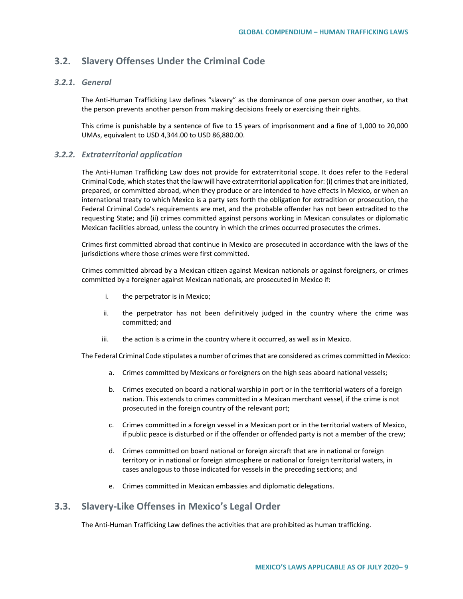## **3.2. Slavery Offenses Under the Criminal Code**

### *3.2.1. General*

The Anti-Human Trafficking Law defines "slavery" as the dominance of one person over another, so that the person prevents another person from making decisions freely or exercising their rights.

This crime is punishable by a sentence of five to 15 years of imprisonment and a fine of 1,000 to 20,000 UMAs, equivalent to USD 4,344.00 to USD 86,880.00.

### *3.2.2. Extraterritorial application*

The Anti-Human Trafficking Law does not provide for extraterritorial scope. It does refer to the Federal Criminal Code, which states that the law will have extraterritorial application for: (i) crimes that are initiated, prepared, or committed abroad, when they produce or are intended to have effects in Mexico, or when an international treaty to which Mexico is a party sets forth the obligation for extradition or prosecution, the Federal Criminal Code's requirements are met, and the probable offender has not been extradited to the requesting State; and (ii) crimes committed against persons working in Mexican consulates or diplomatic Mexican facilities abroad, unless the country in which the crimes occurred prosecutes the crimes.

Crimes first committed abroad that continue in Mexico are prosecuted in accordance with the laws of the jurisdictions where those crimes were first committed.

Crimes committed abroad by a Mexican citizen against Mexican nationals or against foreigners, or crimes committed by a foreigner against Mexican nationals, are prosecuted in Mexico if:

- i. the perpetrator is in Mexico;
- ii. the perpetrator has not been definitively judged in the country where the crime was committed; and
- iii. the action is a crime in the country where it occurred, as well as in Mexico.

The Federal Criminal Code stipulates a number of crimes that are considered as crimes committed in Mexico:

- a. Crimes committed by Mexicans or foreigners on the high seas aboard national vessels;
- b. Crimes executed on board a national warship in port or in the territorial waters of a foreign nation. This extends to crimes committed in a Mexican merchant vessel, if the crime is not prosecuted in the foreign country of the relevant port;
- c. Crimes committed in a foreign vessel in a Mexican port or in the territorial waters of Mexico, if public peace is disturbed or if the offender or offended party is not a member of the crew;
- d. Crimes committed on board national or foreign aircraft that are in national or foreign territory or in national or foreign atmosphere or national or foreign territorial waters, in cases analogous to those indicated for vessels in the preceding sections; and
- e. Crimes committed in Mexican embassies and diplomatic delegations.

## **3.3. Slavery-Like Offenses in Mexico's Legal Order**

The Anti-Human Trafficking Law defines the activities that are prohibited as human trafficking.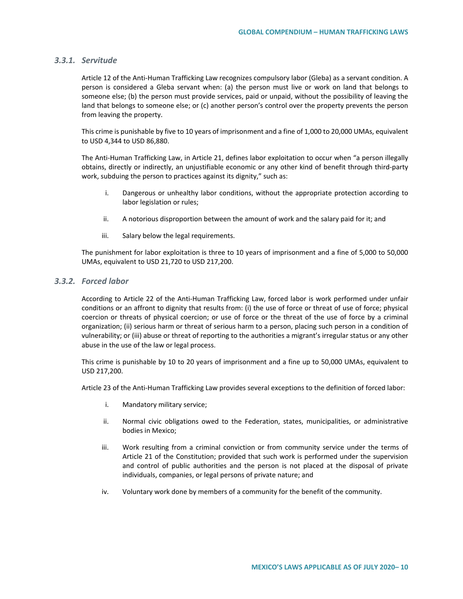### *3.3.1. Servitude*

Article 12 of the Anti-Human Trafficking Law recognizes compulsory labor (Gleba) as a servant condition. A person is considered a Gleba servant when: (a) the person must live or work on land that belongs to someone else; (b) the person must provide services, paid or unpaid, without the possibility of leaving the land that belongs to someone else; or (c) another person's control over the property prevents the person from leaving the property.

This crime is punishable by five to 10 years of imprisonment and a fine of 1,000 to 20,000 UMAs, equivalent to USD 4,344 to USD 86,880.

The Anti-Human Trafficking Law, in Article 21, defines labor exploitation to occur when "a person illegally obtains, directly or indirectly, an unjustifiable economic or any other kind of benefit through third-party work, subduing the person to practices against its dignity," such as:

- i. Dangerous or unhealthy labor conditions, without the appropriate protection according to labor legislation or rules;
- ii. A notorious disproportion between the amount of work and the salary paid for it; and
- iii. Salary below the legal requirements.

The punishment for labor exploitation is three to 10 years of imprisonment and a fine of 5,000 to 50,000 UMAs, equivalent to USD 21,720 to USD 217,200.

#### *3.3.2. Forced labor*

According to Article 22 of the Anti-Human Trafficking Law, forced labor is work performed under unfair conditions or an affront to dignity that results from: (i) the use of force or threat of use of force; physical coercion or threats of physical coercion; or use of force or the threat of the use of force by a criminal organization; (ii) serious harm or threat of serious harm to a person, placing such person in a condition of vulnerability; or (iii) abuse or threat of reporting to the authorities a migrant's irregular status or any other abuse in the use of the law or legal process.

This crime is punishable by 10 to 20 years of imprisonment and a fine up to 50,000 UMAs, equivalent to USD 217,200.

Article 23 of the Anti-Human Trafficking Law provides several exceptions to the definition of forced labor:

- i. Mandatory military service;
- ii. Normal civic obligations owed to the Federation, states, municipalities, or administrative bodies in Mexico;
- iii. Work resulting from a criminal conviction or from community service under the terms of Article 21 of the Constitution; provided that such work is performed under the supervision and control of public authorities and the person is not placed at the disposal of private individuals, companies, or legal persons of private nature; and
- iv. Voluntary work done by members of a community for the benefit of the community.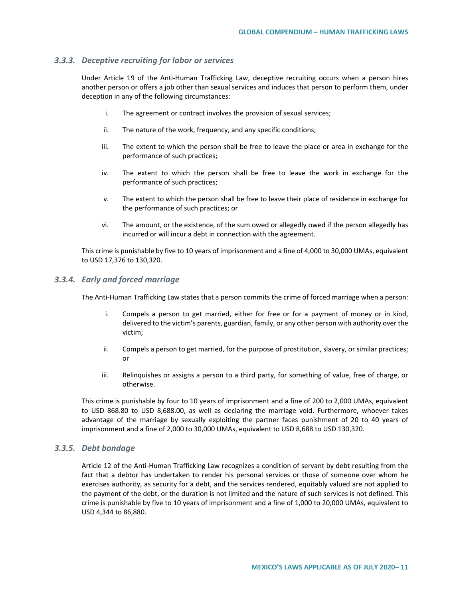### *3.3.3. Deceptive recruiting for labor or services*

Under Article 19 of the Anti-Human Trafficking Law, deceptive recruiting occurs when a person hires another person or offers a job other than sexual services and induces that person to perform them, under deception in any of the following circumstances:

- i. The agreement or contract involves the provision of sexual services;
- ii. The nature of the work, frequency, and any specific conditions;
- iii. The extent to which the person shall be free to leave the place or area in exchange for the performance of such practices;
- iv. The extent to which the person shall be free to leave the work in exchange for the performance of such practices;
- v. The extent to which the person shall be free to leave their place of residence in exchange for the performance of such practices; or
- vi. The amount, or the existence, of the sum owed or allegedly owed if the person allegedly has incurred or will incur a debt in connection with the agreement.

This crime is punishable by five to 10 years of imprisonment and a fine of 4,000 to 30,000 UMAs, equivalent to USD 17,376 to 130,320.

### *3.3.4. Early and forced marriage*

The Anti-Human Trafficking Law states that a person commits the crime of forced marriage when a person:

- i. Compels a person to get married, either for free or for a payment of money or in kind, delivered to the victim's parents, guardian, family, or any other person with authority over the victim;
- ii. Compels a person to get married, for the purpose of prostitution, slavery, or similar practices; or
- iii. Relinquishes or assigns a person to a third party, for something of value, free of charge, or otherwise.

This crime is punishable by four to 10 years of imprisonment and a fine of 200 to 2,000 UMAs, equivalent to USD 868.80 to USD 8,688.00, as well as declaring the marriage void. Furthermore, whoever takes advantage of the marriage by sexually exploiting the partner faces punishment of 20 to 40 years of imprisonment and a fine of 2,000 to 30,000 UMAs, equivalent to USD 8,688 to USD 130,320.

### *3.3.5. Debt bondage*

Article 12 of the Anti-Human Trafficking Law recognizes a condition of servant by debt resulting from the fact that a debtor has undertaken to render his personal services or those of someone over whom he exercises authority, as security for a debt, and the services rendered, equitably valued are not applied to the payment of the debt, or the duration is not limited and the nature of such services is not defined. This crime is punishable by five to 10 years of imprisonment and a fine of 1,000 to 20,000 UMAs, equivalent to USD 4,344 to 86,880.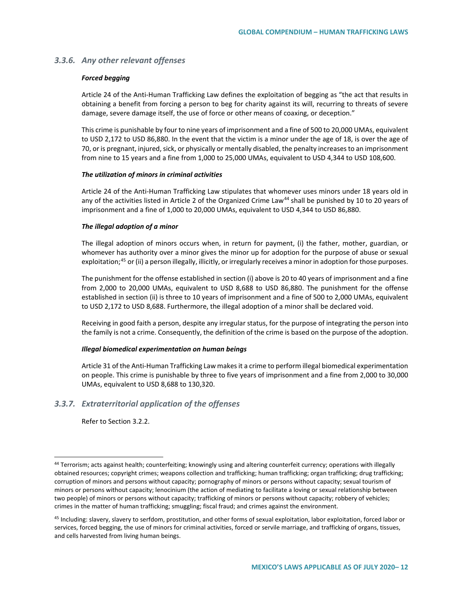### *3.3.6. Any other relevant offenses*

#### *Forced begging*

Article 24 of the Anti-Human Trafficking Law defines the exploitation of begging as "the act that results in obtaining a benefit from forcing a person to beg for charity against its will, recurring to threats of severe damage, severe damage itself, the use of force or other means of coaxing, or deception."

This crime is punishable by four to nine years of imprisonment and a fine of 500 to 20,000 UMAs, equivalent to USD 2,172 to USD 86,880. In the event that the victim is a minor under the age of 18, is over the age of 70, or is pregnant, injured, sick, or physically or mentally disabled, the penalty increases to an imprisonment from nine to 15 years and a fine from 1,000 to 25,000 UMAs, equivalent to USD 4,344 to USD 108,600.

#### *The utilization of minors in criminal activities*

Article 24 of the Anti-Human Trafficking Law stipulates that whomever uses minors under 18 years old in any of the activities listed in Article 2 of the Organized Crime Law<sup>[44](#page-11-0)</sup> shall be punished by 10 to 20 years of imprisonment and a fine of 1,000 to 20,000 UMAs, equivalent to USD 4,344 to USD 86,880.

#### *The illegal adoption of a minor*

The illegal adoption of minors occurs when, in return for payment, (i) the father, mother, guardian, or whomever has authority over a minor gives the minor up for adoption for the purpose of abuse or sexual exploitation;<sup>[45](#page-11-1)</sup> or (ii) a person illegally, illicitly, or irregularly receives a minor in adoption for those purposes.

The punishment for the offense established in section (i) above is 20 to 40 years of imprisonment and a fine from 2,000 to 20,000 UMAs, equivalent to USD 8,688 to USD 86,880. The punishment for the offense established in section (ii) is three to 10 years of imprisonment and a fine of 500 to 2,000 UMAs, equivalent to USD 2,172 to USD 8,688. Furthermore, the illegal adoption of a minor shall be declared void.

Receiving in good faith a person, despite any irregular status, for the purpose of integrating the person into the family is not a crime. Consequently, the definition of the crime is based on the purpose of the adoption.

#### *Illegal biomedical experimentation on human beings*

Article 31 of the Anti-Human Trafficking Law makes it a crime to perform illegal biomedical experimentation on people. This crime is punishable by three to five years of imprisonment and a fine from 2,000 to 30,000 UMAs, equivalent to USD 8,688 to 130,320.

### *3.3.7. Extraterritorial application of the offenses*

Refer to Section 3.2.2.

<span id="page-11-0"></span> <sup>44</sup> Terrorism; acts against health; counterfeiting; knowingly using and altering counterfeit currency; operations with illegally obtained resources; copyright crimes; weapons collection and trafficking; human trafficking; organ trafficking; drug trafficking; corruption of minors and persons without capacity; pornography of minors or persons without capacity; sexual tourism of minors or persons without capacity; lenocinium (the action of mediating to facilitate a loving or sexual relationship between two people) of minors or persons without capacity; trafficking of minors or persons without capacity; robbery of vehicles; crimes in the matter of human trafficking; smuggling; fiscal fraud; and crimes against the environment.

<span id="page-11-1"></span><sup>&</sup>lt;sup>45</sup> Including: slavery, slavery to serfdom, prostitution, and other forms of sexual exploitation, labor exploitation, forced labor or services, forced begging, the use of minors for criminal activities, forced or servile marriage, and trafficking of organs, tissues, and cells harvested from living human beings.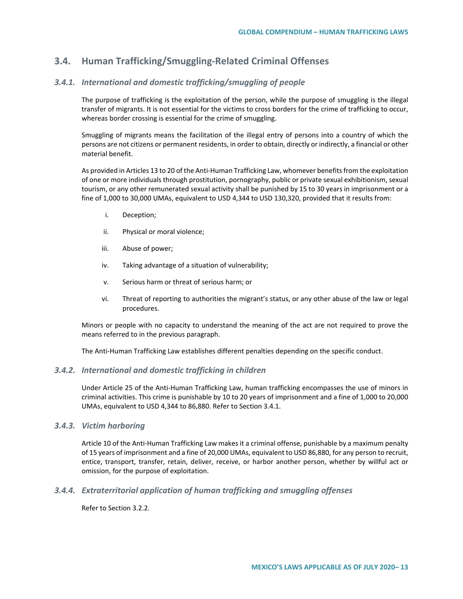## **3.4. Human Trafficking/Smuggling-Related Criminal Offenses**

### *3.4.1. International and domestic trafficking/smuggling of people*

The purpose of trafficking is the exploitation of the person, while the purpose of smuggling is the illegal transfer of migrants. It is not essential for the victims to cross borders for the crime of trafficking to occur, whereas border crossing is essential for the crime of smuggling.

Smuggling of migrants means the facilitation of the illegal entry of persons into a country of which the persons are not citizens or permanent residents, in order to obtain, directly or indirectly, a financial or other material benefit.

As provided in Articles 13 to 20 of the Anti-Human Trafficking Law, whomever benefits from the exploitation of one or more individuals through prostitution, pornography, public or private sexual exhibitionism, sexual tourism, or any other remunerated sexual activity shall be punished by 15 to 30 years in imprisonment or a fine of 1,000 to 30,000 UMAs, equivalent to USD 4,344 to USD 130,320, provided that it results from:

- i. Deception;
- ii. Physical or moral violence;
- iii. Abuse of power;
- iv. Taking advantage of a situation of vulnerability;
- v. Serious harm or threat of serious harm; or
- vi. Threat of reporting to authorities the migrant's status, or any other abuse of the law or legal procedures.

Minors or people with no capacity to understand the meaning of the act are not required to prove the means referred to in the previous paragraph.

The Anti-Human Trafficking Law establishes different penalties depending on the specific conduct.

### *3.4.2. International and domestic trafficking in children*

Under Article 25 of the Anti-Human Trafficking Law, human trafficking encompasses the use of minors in criminal activities. This crime is punishable by 10 to 20 years of imprisonment and a fine of 1,000 to 20,000 UMAs, equivalent to USD 4,344 to 86,880. Refer to Section 3.4.1.

### *3.4.3. Victim harboring*

Article 10 of the Anti-Human Trafficking Law makes it a criminal offense, punishable by a maximum penalty of 15 years of imprisonment and a fine of 20,000 UMAs, equivalent to USD 86,880, for any person to recruit, entice, transport, transfer, retain, deliver, receive, or harbor another person, whether by willful act or omission, for the purpose of exploitation.

### *3.4.4. Extraterritorial application of human trafficking and smuggling offenses*

Refer to Section 3.2.2.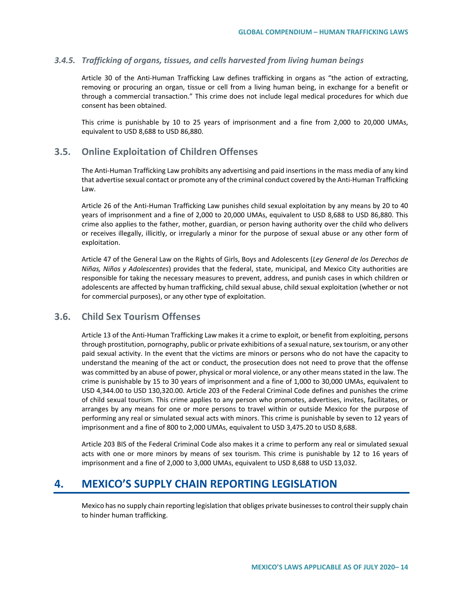### *3.4.5. Trafficking of organs, tissues, and cells harvested from living human beings*

Article 30 of the Anti-Human Trafficking Law defines trafficking in organs as "the action of extracting, removing or procuring an organ, tissue or cell from a living human being, in exchange for a benefit or through a commercial transaction." This crime does not include legal medical procedures for which due consent has been obtained.

This crime is punishable by 10 to 25 years of imprisonment and a fine from 2,000 to 20,000 UMAs, equivalent to USD 8,688 to USD 86,880.

## **3.5. Online Exploitation of Children Offenses**

The Anti-Human Trafficking Law prohibits any advertising and paid insertions in the mass media of any kind that advertise sexual contact or promote any of the criminal conduct covered by the Anti-Human Trafficking Law.

Article 26 of the Anti-Human Trafficking Law punishes child sexual exploitation by any means by 20 to 40 years of imprisonment and a fine of 2,000 to 20,000 UMAs, equivalent to USD 8,688 to USD 86,880. This crime also applies to the father, mother, guardian, or person having authority over the child who delivers or receives illegally, illicitly, or irregularly a minor for the purpose of sexual abuse or any other form of exploitation.

Article 47 of the General Law on the Rights of Girls, Boys and Adolescents (*Ley General de los Derechos de Niñas, Niños y Adolescentes*) provides that the federal, state, municipal, and Mexico City authorities are responsible for taking the necessary measures to prevent, address, and punish cases in which children or adolescents are affected by human trafficking, child sexual abuse, child sexual exploitation (whether or not for commercial purposes), or any other type of exploitation.

## **3.6. Child Sex Tourism Offenses**

Article 13 of the Anti-Human Trafficking Law makes it a crime to exploit, or benefit from exploiting, persons through prostitution, pornography, public or private exhibitions of a sexual nature, sex tourism, or any other paid sexual activity. In the event that the victims are minors or persons who do not have the capacity to understand the meaning of the act or conduct, the prosecution does not need to prove that the offense was committed by an abuse of power, physical or moral violence, or any other means stated in the law. The crime is punishable by 15 to 30 years of imprisonment and a fine of 1,000 to 30,000 UMAs, equivalent to USD 4,344.00 to USD 130,320.00. Article 203 of the Federal Criminal Code defines and punishes the crime of child sexual tourism. This crime applies to any person who promotes, advertises, invites, facilitates, or arranges by any means for one or more persons to travel within or outside Mexico for the purpose of performing any real or simulated sexual acts with minors. This crime is punishable by seven to 12 years of imprisonment and a fine of 800 to 2,000 UMAs, equivalent to USD 3,475.20 to USD 8,688.

Article 203 BIS of the Federal Criminal Code also makes it a crime to perform any real or simulated sexual acts with one or more minors by means of sex tourism. This crime is punishable by 12 to 16 years of imprisonment and a fine of 2,000 to 3,000 UMAs, equivalent to USD 8,688 to USD 13,032.

## <span id="page-13-0"></span>**4. MEXICO'S SUPPLY CHAIN REPORTING LEGISLATION**

Mexico has no supply chain reporting legislation that obliges private businesses to control their supply chain to hinder human trafficking.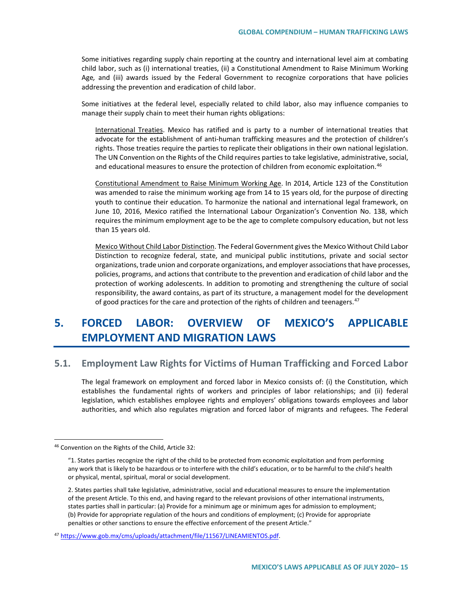Some initiatives regarding supply chain reporting at the country and international level aim at combating child labor, such as (i) international treaties, (ii) a Constitutional Amendment to Raise Minimum Working Age*,* and (iii) awards issued by the Federal Government to recognize corporations that have policies addressing the prevention and eradication of child labor.

Some initiatives at the federal level, especially related to child labor, also may influence companies to manage their supply chain to meet their human rights obligations:

International Treaties. Mexico has ratified and is party to a number of international treaties that advocate for the establishment of anti-human trafficking measures and the protection of children's rights. Those treaties require the parties to replicate their obligations in their own national legislation. The UN Convention on the Rights of the Child requires parties to take legislative, administrative, social, and educational measures to ensure the protection of children from economic exploitation.<sup>[46](#page-13-0)</sup>

Constitutional Amendment to Raise Minimum Working Age. In 2014, Article 123 of the Constitution was amended to raise the minimum working age from 14 to 15 years old, for the purpose of directing youth to continue their education. To harmonize the national and international legal framework, on June 10, 2016, Mexico ratified the International Labour Organization's Convention No. 138, which requires the minimum employment age to be the age to complete compulsory education, but not less than 15 years old.

Mexico Without Child Labor Distinction. The Federal Government gives the Mexico Without Child Labor Distinction to recognize federal, state, and municipal public institutions, private and social sector organizations, trade union and corporate organizations, and employer associations that have processes, policies, programs, and actions that contribute to the prevention and eradication of child labor and the protection of working adolescents. In addition to promoting and strengthening the culture of social responsibility, the award contains, as part of its structure, a management model for the development of good practices for the care and protection of the rights of children and teenagers.<sup>[47](#page-14-0)</sup>

# **5. FORCED LABOR: OVERVIEW OF MEXICO'S APPLICABLE EMPLOYMENT AND MIGRATION LAWS**

## **5.1. Employment Law Rights for Victims of Human Trafficking and Forced Labor**

The legal framework on employment and forced labor in Mexico consists of: (i) the Constitution, which establishes the fundamental rights of workers and principles of labor relationships; and (ii) federal legislation, which establishes employee rights and employers' obligations towards employees and labor authorities, and which also regulates migration and forced labor of migrants and refugees. The Federal

 <sup>46</sup> Convention on the Rights of the Child, Article 32:

<sup>&</sup>quot;1. States parties recognize the right of the child to be protected from economic exploitation and from performing any work that is likely to be hazardous or to interfere with the child's education, or to be harmful to the child's health or physical, mental, spiritual, moral or social development.

<sup>2.</sup> States parties shall take legislative, administrative, social and educational measures to ensure the implementation of the present Article. To this end, and having regard to the relevant provisions of other international instruments, states parties shall in particular: (a) Provide for a minimum age or minimum ages for admission to employment; (b) Provide for appropriate regulation of the hours and conditions of employment; (c) Provide for appropriate penalties or other sanctions to ensure the effective enforcement of the present Article."

<span id="page-14-0"></span><sup>47</sup> [https://www.gob.mx/cms/uploads/attachment/file/11567/LINEAMIENTOS.pdf.](https://www.gob.mx/cms/uploads/attachment/file/11567/LINEAMIENTOS.pdf)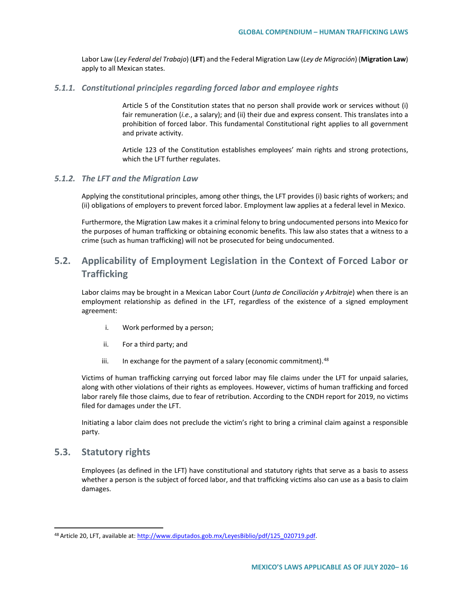Labor Law (*Ley Federal del Trabajo*) (**LFT**) and the Federal Migration Law (*Ley de Migración*) (**Migration Law**) apply to all Mexican states.

#### *5.1.1. Constitutional principles regarding forced labor and employee rights*

Article 5 of the Constitution states that no person shall provide work or services without (i) fair remuneration (*i.e.*, a salary); and (ii) their due and express consent. This translates into a prohibition of forced labor. This fundamental Constitutional right applies to all government and private activity.

Article 123 of the Constitution establishes employees' main rights and strong protections, which the LFT further regulates.

### *5.1.2. The LFT and the Migration Law*

Applying the constitutional principles, among other things, the LFT provides (i) basic rights of workers; and (ii) obligations of employers to prevent forced labor. Employment law applies at a federal level in Mexico.

Furthermore, the Migration Law makes it a criminal felony to bring undocumented persons into Mexico for the purposes of human trafficking or obtaining economic benefits. This law also states that a witness to a crime (such as human trafficking) will not be prosecuted for being undocumented.

## **5.2. Applicability of Employment Legislation in the Context of Forced Labor or Trafficking**

Labor claims may be brought in a Mexican Labor Court (*Junta de Conciliación y Arbitraje*) when there is an employment relationship as defined in the LFT, regardless of the existence of a signed employment agreement:

- i. Work performed by a person;
- ii. For a third party; and
- iii. In exchange for the payment of a salary (economic commitment).  $48$

Victims of human trafficking carrying out forced labor may file claims under the LFT for unpaid salaries, along with other violations of their rights as employees. However, victims of human trafficking and forced labor rarely file those claims, due to fear of retribution. According to the CNDH report for 2019, no victims filed for damages under the LFT.

Initiating a labor claim does not preclude the victim's right to bring a criminal claim against a responsible party.

## **5.3. Statutory rights**

Employees (as defined in the LFT) have constitutional and statutory rights that serve as a basis to assess whether a person is the subject of forced labor, and that trafficking victims also can use as a basis to claim damages.

<span id="page-15-0"></span><sup>48</sup> Article 20, LFT, available at[: http://www.diputados.gob.mx/LeyesBiblio/pdf/125\\_020719.pdf.](http://www.diputados.gob.mx/LeyesBiblio/pdf/125_020719.pdf)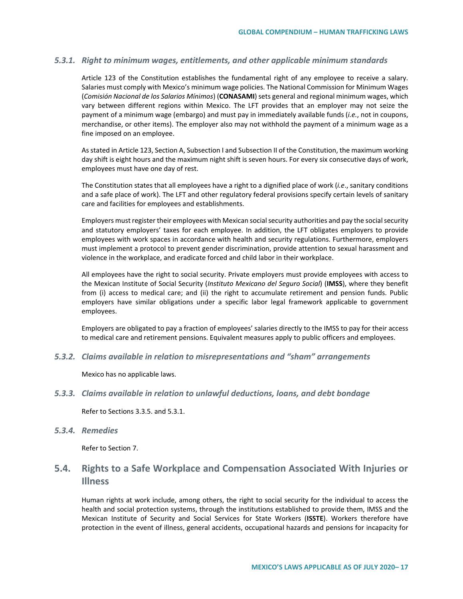### *5.3.1. Right to minimum wages, entitlements, and other applicable minimum standards*

Article 123 of the Constitution establishes the fundamental right of any employee to receive a salary. Salaries must comply with Mexico's minimum wage policies. The National Commission for Minimum Wages (*Comisión Nacional de los Salarios Mínimos*) (**CONASAMI**) sets general and regional minimum wages, which vary between different regions within Mexico. The LFT provides that an employer may not seize the payment of a minimum wage (embargo) and must pay in immediately available funds (*i.e.*, not in coupons, merchandise, or other items). The employer also may not withhold the payment of a minimum wage as a fine imposed on an employee.

As stated in Article 123, Section A, Subsection I and Subsection II of the Constitution, the maximum working day shift is eight hours and the maximum night shift is seven hours. For every six consecutive days of work, employees must have one day of rest.

The Constitution states that all employees have a right to a dignified place of work (*i.e*., sanitary conditions and a safe place of work). The LFT and other regulatory federal provisions specify certain levels of sanitary care and facilities for employees and establishments.

Employers must register their employees with Mexican social security authorities and pay the social security and statutory employers' taxes for each employee. In addition, the LFT obligates employers to provide employees with work spaces in accordance with health and security regulations. Furthermore, employers must implement a protocol to prevent gender discrimination, provide attention to sexual harassment and violence in the workplace, and eradicate forced and child labor in their workplace.

All employees have the right to social security. Private employers must provide employees with access to the Mexican Institute of Social Security (*Instituto Mexicano del Seguro Social*) (**IMSS**), where they benefit from (i) access to medical care; and (ii) the right to accumulate retirement and pension funds. Public employers have similar obligations under a specific labor legal framework applicable to government employees.

Employers are obligated to pay a fraction of employees' salaries directly to the IMSS to pay for their access to medical care and retirement pensions. Equivalent measures apply to public officers and employees.

*5.3.2. Claims available in relation to misrepresentations and "sham" arrangements*

Mexico has no applicable laws.

#### *5.3.3. Claims available in relation to unlawful deductions, loans, and debt bondage*

Refer to Sections 3.3.5. and 5.3.1.

### *5.3.4. Remedies*

Refer to Section 7.

## **5.4. Rights to a Safe Workplace and Compensation Associated With Injuries or Illness**

Human rights at work include, among others, the right to social security for the individual to access the health and social protection systems, through the institutions established to provide them, IMSS and the Mexican Institute of Security and Social Services for State Workers (**ISSTE**). Workers therefore have protection in the event of illness, general accidents, occupational hazards and pensions for incapacity for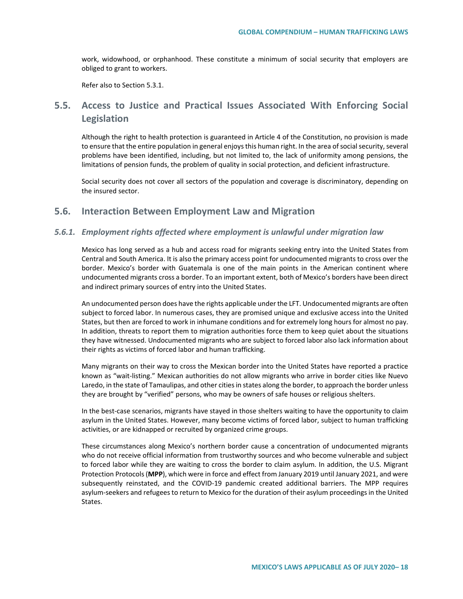work, widowhood, or orphanhood. These constitute a minimum of social security that employers are obliged to grant to workers.

Refer also to Section 5.3.1.

## **5.5. Access to Justice and Practical Issues Associated With Enforcing Social Legislation**

Although the right to health protection is guaranteed in Article 4 of the Constitution, no provision is made to ensure that the entire population in general enjoys this human right. In the area of social security, several problems have been identified, including, but not limited to, the lack of uniformity among pensions, the limitations of pension funds, the problem of quality in social protection, and deficient infrastructure.

Social security does not cover all sectors of the population and coverage is discriminatory, depending on the insured sector.

## **5.6. Interaction Between Employment Law and Migration**

### *5.6.1. Employment rights affected where employment is unlawful under migration law*

Mexico has long served as a hub and access road for migrants seeking entry into the United States from Central and South America. It is also the primary access point for undocumented migrants to cross over the border. Mexico's border with Guatemala is one of the main points in the American continent where undocumented migrants cross a border. To an important extent, both of Mexico's borders have been direct and indirect primary sources of entry into the United States.

An undocumented person does have the rights applicable under the LFT. Undocumented migrants are often subject to forced labor. In numerous cases, they are promised unique and exclusive access into the United States, but then are forced to work in inhumane conditions and for extremely long hours for almost no pay. In addition, threats to report them to migration authorities force them to keep quiet about the situations they have witnessed. Undocumented migrants who are subject to forced labor also lack information about their rights as victims of forced labor and human trafficking.

Many migrants on their way to cross the Mexican border into the United States have reported a practice known as "wait-listing." Mexican authorities do not allow migrants who arrive in border cities like Nuevo Laredo, in the state of Tamaulipas, and other cities in states along the border, to approach the border unless they are brought by "verified" persons, who may be owners of safe houses or religious shelters.

In the best-case scenarios, migrants have stayed in those shelters waiting to have the opportunity to claim asylum in the United States. However, many become victims of forced labor, subject to human trafficking activities, or are kidnapped or recruited by organized crime groups.

These circumstances along Mexico's northern border cause a concentration of undocumented migrants who do not receive official information from trustworthy sources and who become vulnerable and subject to forced labor while they are waiting to cross the border to claim asylum. In addition, the U.S. Migrant Protection Protocols (**MPP**), which were in force and effect from January 2019 until January 2021, and were subsequently reinstated, and the COVID-19 pandemic created additional barriers. The MPP requires asylum-seekers and refugees to return to Mexico for the duration of their asylum proceedings in the United States.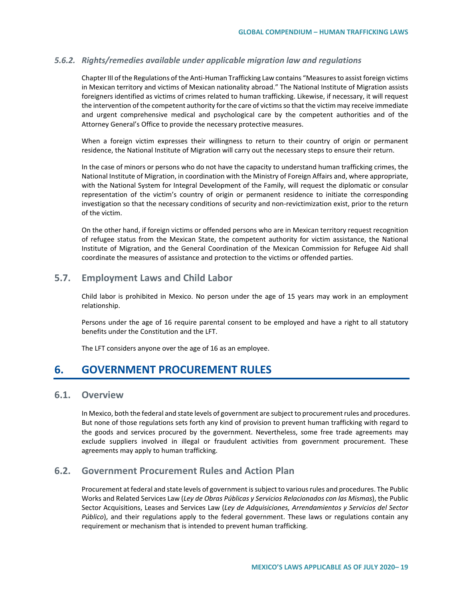### *5.6.2. Rights/remedies available under applicable migration law and regulations*

Chapter III of the Regulations of the Anti-Human Trafficking Law contains "Measures to assist foreign victims in Mexican territory and victims of Mexican nationality abroad." The National Institute of Migration assists foreigners identified as victims of crimes related to human trafficking. Likewise, if necessary, it will request the intervention of the competent authority for the care of victims so that the victim may receive immediate and urgent comprehensive medical and psychological care by the competent authorities and of the Attorney General's Office to provide the necessary protective measures.

When a foreign victim expresses their willingness to return to their country of origin or permanent residence, the National Institute of Migration will carry out the necessary steps to ensure their return.

In the case of minors or persons who do not have the capacity to understand human trafficking crimes, the National Institute of Migration, in coordination with the Ministry of Foreign Affairs and, where appropriate, with the National System for Integral Development of the Family, will request the diplomatic or consular representation of the victim's country of origin or permanent residence to initiate the corresponding investigation so that the necessary conditions of security and non-revictimization exist, prior to the return of the victim.

On the other hand, if foreign victims or offended persons who are in Mexican territory request recognition of refugee status from the Mexican State, the competent authority for victim assistance, the National Institute of Migration, and the General Coordination of the Mexican Commission for Refugee Aid shall coordinate the measures of assistance and protection to the victims or offended parties.

## **5.7. Employment Laws and Child Labor**

Child labor is prohibited in Mexico. No person under the age of 15 years may work in an employment relationship.

Persons under the age of 16 require parental consent to be employed and have a right to all statutory benefits under the Constitution and the LFT.

The LFT considers anyone over the age of 16 as an employee.

## **6. GOVERNMENT PROCUREMENT RULES**

### **6.1. Overview**

In Mexico, both the federal and state levels of government are subject to procurement rules and procedures. But none of those regulations sets forth any kind of provision to prevent human trafficking with regard to the goods and services procured by the government. Nevertheless, some free trade agreements may exclude suppliers involved in illegal or fraudulent activities from government procurement. These agreements may apply to human trafficking.

## <span id="page-18-0"></span>**6.2. Government Procurement Rules and Action Plan**

Procurement at federal and state levels of government is subject to various rules and procedures. The Public Works and Related Services Law (*Ley de Obras Públicas y Servicios Relacionados con las Mismas*), the Public Sector Acquisitions, Leases and Services Law (*Ley de Adquisiciones, Arrendamientos y Servicios del Sector Público*), and their regulations apply to the federal government. These laws or regulations contain any requirement or mechanism that is intended to prevent human trafficking.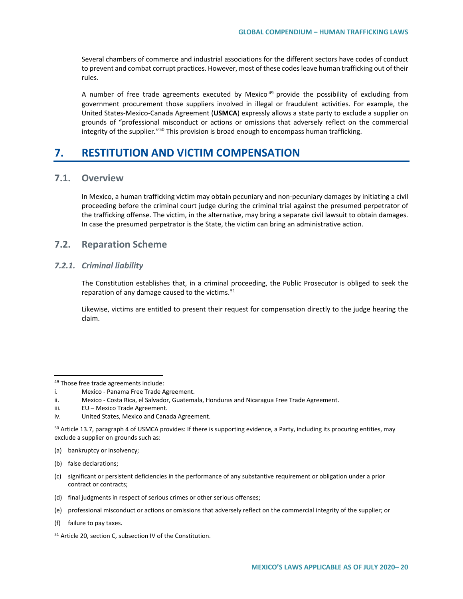Several chambers of commerce and industrial associations for the different sectors have codes of conduct to prevent and combat corrupt practices. However, most of these codes leave human trafficking out of their rules.

A number of free trade agreements executed by Mexico<sup>[49](#page-18-0)</sup> provide the possibility of excluding from government procurement those suppliers involved in illegal or fraudulent activities. For example, the United States-Mexico-Canada Agreement (**USMCA**) expressly allows a state party to exclude a supplier on grounds of "professional misconduct or actions or omissions that adversely reflect on the commercial integrity of the supplier*.*"[50](#page-19-0) This provision is broad enough to encompass human trafficking.

## **7. RESTITUTION AND VICTIM COMPENSATION**

### **7.1. Overview**

In Mexico, a human trafficking victim may obtain pecuniary and non-pecuniary damages by initiating a civil proceeding before the criminal court judge during the criminal trial against the presumed perpetrator of the trafficking offense. The victim, in the alternative, may bring a separate civil lawsuit to obtain damages. In case the presumed perpetrator is the State, the victim can bring an administrative action.

## **7.2. Reparation Scheme**

### *7.2.1. Criminal liability*

The Constitution establishes that, in a criminal proceeding, the Public Prosecutor is obliged to seek the reparation of any damage caused to the victims. $51$ 

Likewise, victims are entitled to present their request for compensation directly to the judge hearing the claim.

<sup>50</sup> Article 13.7, paragraph 4 of USMCA provides: If there is supporting evidence, a Party, including its procuring entities, may exclude a supplier on grounds such as:

(a) bankruptcy or insolvency;

- (c) significant or persistent deficiencies in the performance of any substantive requirement or obligation under a prior contract or contracts;
- (d) final judgments in respect of serious crimes or other serious offenses;
- <span id="page-19-1"></span>(e) professional misconduct or actions or omissions that adversely reflect on the commercial integrity of the supplier; or
- (f) failure to pay taxes.

<sup>49</sup> Those free trade agreements include:

i. Mexico - Panama Free Trade Agreement.

<span id="page-19-0"></span>ii. Mexico - Costa Rica, el Salvador, Guatemala, Honduras and Nicaragua Free Trade Agreement.

iii. EU – Mexico Trade Agreement.

iv. United States, Mexico and Canada Agreement.

<sup>(</sup>b) false declarations;

<sup>51</sup> Article 20, section C, subsection IV of the Constitution.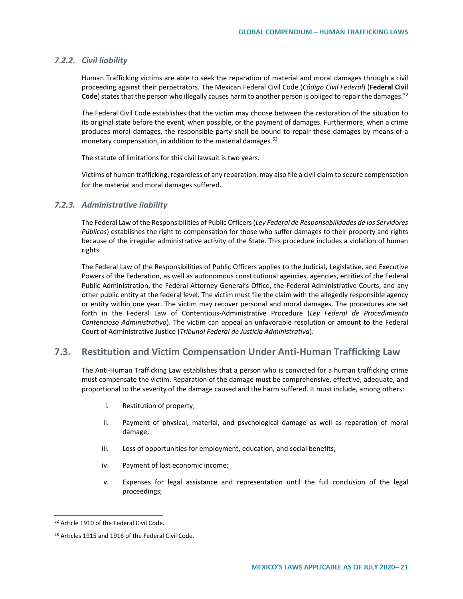### *7.2.2. Civil liability*

Human Trafficking victims are able to seek the reparation of material and moral damages through a civil proceeding against their perpetrators. The Mexican Federal Civil Code (*Código Civil Federal*) (**Federal Civil**  Code) states that the person who illegally causes harm to another person is obliged to repair the damages.<sup>[52](#page-20-0)</sup>

The Federal Civil Code establishes that the victim may choose between the restoration of the situation to its original state before the event, when possible, or the payment of damages. Furthermore, when a crime produces moral damages, the responsible party shall be bound to repair those damages by means of a monetary compensation, in addition to the material damages.<sup>[53](#page-20-1)</sup>

The statute of limitations for this civil lawsuit is two years.

Victims of human trafficking, regardless of any reparation, may also file a civil claim to secure compensation for the material and moral damages suffered.

### *7.2.3. Administrative liability*

The Federal Law of the Responsibilities of Public Officers (*Ley Federal de Responsabilidades de los Servidores Públicos*) establishes the right to compensation for those who suffer damages to their property and rights because of the irregular administrative activity of the State. This procedure includes a violation of human rights.

The Federal Law of the Responsibilities of Public Officers applies to the Judicial, Legislative, and Executive Powers of the Federation, as well as autonomous constitutional agencies, agencies, entities of the Federal Public Administration, the Federal Attorney General's Office, the Federal Administrative Courts, and any other public entity at the federal level. The victim must file the claim with the allegedly responsible agency or entity within one year. The victim may recover personal and moral damages. The procedures are set forth in the Federal Law of Contentious-Administrative Procedure (*Ley Federal de Procedimiento Contencioso Administrativo*). The victim can appeal an unfavorable resolution or amount to the Federal Court of Administrative Justice (*Tribunal Federal de Justicia Administrativa*).

### **7.3. Restitution and Victim Compensation Under Anti-Human Trafficking Law**

The Anti-Human Trafficking Law establishes that a person who is convicted for a human trafficking crime must compensate the victim. Reparation of the damage must be comprehensive, effective, adequate, and proportional to the severity of the damage caused and the harm suffered. It must include, among others:

- i. Restitution of property;
- ii. Payment of physical, material, and psychological damage as well as reparation of moral damage;
- iii. Loss of opportunities for employment, education, and social benefits;
- iv. Payment of lost economic income;
- v. Expenses for legal assistance and representation until the full conclusion of the legal proceedings;

<span id="page-20-0"></span> <sup>52</sup> Article 1910 of the Federal Civil Code.

<span id="page-20-1"></span><sup>53</sup> Articles 1915 and 1916 of the Federal Civil Code.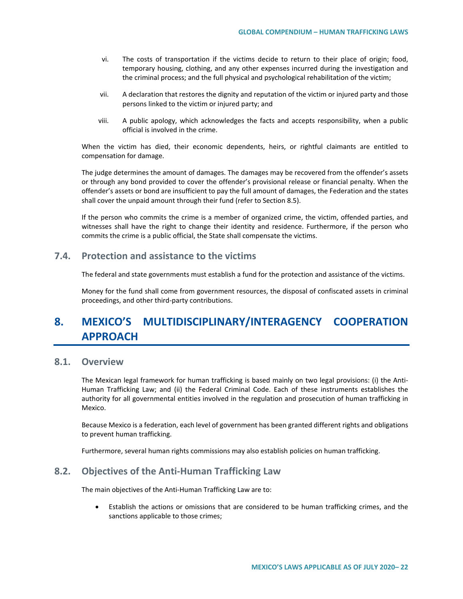- vi. The costs of transportation if the victims decide to return to their place of origin; food, temporary housing, clothing, and any other expenses incurred during the investigation and the criminal process; and the full physical and psychological rehabilitation of the victim;
- vii. A declaration that restores the dignity and reputation of the victim or injured party and those persons linked to the victim or injured party; and
- viii. A public apology, which acknowledges the facts and accepts responsibility, when a public official is involved in the crime.

When the victim has died, their economic dependents, heirs, or rightful claimants are entitled to compensation for damage.

The judge determines the amount of damages. The damages may be recovered from the offender's assets or through any bond provided to cover the offender's provisional release or financial penalty. When the offender's assets or bond are insufficient to pay the full amount of damages, the Federation and the states shall cover the unpaid amount through their fund (refer to Section 8.5).

If the person who commits the crime is a member of organized crime, the victim, offended parties, and witnesses shall have the right to change their identity and residence. Furthermore, if the person who commits the crime is a public official, the State shall compensate the victims.

### **7.4. Protection and assistance to the victims**

The federal and state governments must establish a fund for the protection and assistance of the victims.

Money for the fund shall come from government resources, the disposal of confiscated assets in criminal proceedings, and other third-party contributions.

# **8. MEXICO'S MULTIDISCIPLINARY/INTERAGENCY COOPERATION APPROACH**

### **8.1. Overview**

The Mexican legal framework for human trafficking is based mainly on two legal provisions: (i) the Anti-Human Trafficking Law; and (ii) the Federal Criminal Code. Each of these instruments establishes the authority for all governmental entities involved in the regulation and prosecution of human trafficking in Mexico.

Because Mexico is a federation, each level of government has been granted different rights and obligations to prevent human trafficking.

Furthermore, several human rights commissions may also establish policies on human trafficking.

## **8.2. Objectives of the Anti-Human Trafficking Law**

The main objectives of the Anti-Human Trafficking Law are to:

• Establish the actions or omissions that are considered to be human trafficking crimes, and the sanctions applicable to those crimes;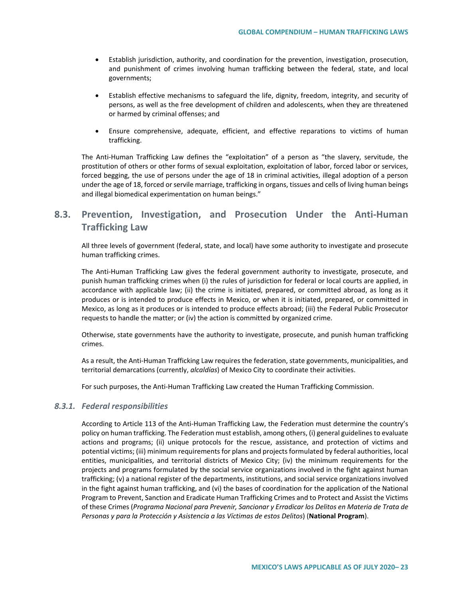- Establish jurisdiction, authority, and coordination for the prevention, investigation, prosecution, and punishment of crimes involving human trafficking between the federal, state, and local governments;
- Establish effective mechanisms to safeguard the life, dignity, freedom, integrity, and security of persons, as well as the free development of children and adolescents, when they are threatened or harmed by criminal offenses; and
- Ensure comprehensive, adequate, efficient, and effective reparations to victims of human trafficking.

The Anti-Human Trafficking Law defines the "exploitation" of a person as "the slavery, servitude, the prostitution of others or other forms of sexual exploitation, exploitation of labor, forced labor or services, forced begging, the use of persons under the age of 18 in criminal activities, illegal adoption of a person under the age of 18, forced or servile marriage, trafficking in organs, tissues and cells of living human beings and illegal biomedical experimentation on human beings."

## **8.3. Prevention, Investigation, and Prosecution Under the Anti-Human Trafficking Law**

All three levels of government (federal, state, and local) have some authority to investigate and prosecute human trafficking crimes.

The Anti-Human Trafficking Law gives the federal government authority to investigate, prosecute, and punish human trafficking crimes when (i) the rules of jurisdiction for federal or local courts are applied, in accordance with applicable law; (ii) the crime is initiated, prepared, or committed abroad, as long as it produces or is intended to produce effects in Mexico, or when it is initiated, prepared, or committed in Mexico, as long as it produces or is intended to produce effects abroad; (iii) the Federal Public Prosecutor requests to handle the matter; or (iv) the action is committed by organized crime.

Otherwise, state governments have the authority to investigate, prosecute, and punish human trafficking crimes.

As a result, the Anti-Human Trafficking Law requires the federation, state governments, municipalities, and territorial demarcations (currently, *alcaldías*) of Mexico City to coordinate their activities.

For such purposes, the Anti-Human Trafficking Law created the Human Trafficking Commission.

### *8.3.1. Federal responsibilities*

<span id="page-22-0"></span>According to Article 113 of the Anti-Human Trafficking Law, the Federation must determine the country's policy on human trafficking. The Federation must establish, among others, (i) general guidelines to evaluate actions and programs; (ii) unique protocols for the rescue, assistance, and protection of victims and potential victims; (iii) minimum requirements for plans and projects formulated by federal authorities, local entities, municipalities, and territorial districts of Mexico City; (iv) the minimum requirements for the projects and programs formulated by the social service organizations involved in the fight against human trafficking; (v) a national register of the departments, institutions, and social service organizations involved in the fight against human trafficking, and (vi) the bases of coordination for the application of the National Program to Prevent, Sanction and Eradicate Human Trafficking Crimes and to Protect and Assist the Victims of these Crimes (*Programa Nacional para Prevenir, Sancionar y Erradicar los Delitos en Materia de Trata de Personas y para la Protección y Asistencia a las Víctimas de estos Delitos*) (**National Program**).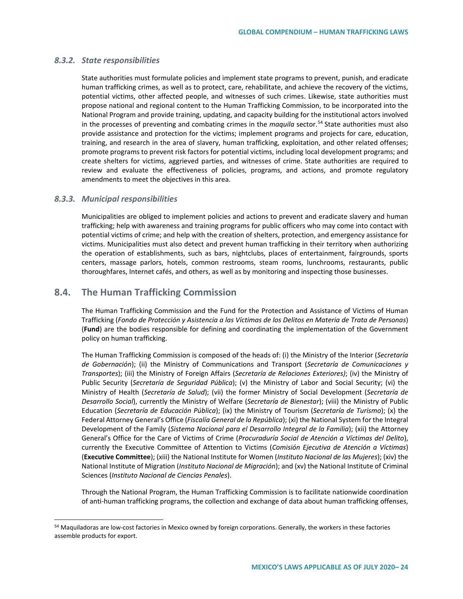### *8.3.2. State responsibilities*

State authorities must formulate policies and implement state programs to prevent, punish, and eradicate human trafficking crimes, as well as to protect, care, rehabilitate, and achieve the recovery of the victims, potential victims, other affected people, and witnesses of such crimes. Likewise, state authorities must propose national and regional content to the Human Trafficking Commission, to be incorporated into the National Program and provide training, updating, and capacity building for the institutional actors involved in the processes of preventing and combating crimes in the *maquila* sector.<sup>[54](#page-22-0)</sup> State authorities must also provide assistance and protection for the victims; implement programs and projects for care, education, training, and research in the area of slavery, human trafficking, exploitation, and other related offenses; promote programs to prevent risk factors for potential victims, including local development programs; and create shelters for victims, aggrieved parties, and witnesses of crime. State authorities are required to review and evaluate the effectiveness of policies, programs, and actions, and promote regulatory amendments to meet the objectives in this area.

### *8.3.3. Municipal responsibilities*

Municipalities are obliged to implement policies and actions to prevent and eradicate slavery and human trafficking; help with awareness and training programs for public officers who may come into contact with potential victims of crime; and help with the creation of shelters, protection, and emergency assistance for victims. Municipalities must also detect and prevent human trafficking in their territory when authorizing the operation of establishments, such as bars, nightclubs, places of entertainment, fairgrounds, sports centers, massage parlors, hotels, common restrooms, steam rooms, lunchrooms, restaurants, public thoroughfares, Internet cafés, and others, as well as by monitoring and inspecting those businesses.

## **8.4. The Human Trafficking Commission**

The Human Trafficking Commission and the Fund for the Protection and Assistance of Victims of Human Trafficking (*Fondo de Protección y Asistencia a las Víctimas de los Delitos en Materia de Trata de Personas*) (**Fund**) are the bodies responsible for defining and coordinating the implementation of the Government policy on human trafficking.

The Human Trafficking Commission is composed of the heads of: (i) the Ministry of the Interior (*Secretaría de Gobernación*); (ii) the Ministry of Communications and Transport (*Secretaría de Comunicaciones y Transportes*); (iii) the Ministry of Foreign Affairs (*Secretaría de Relaciones Exteriores)*; (iv) the Ministry of Public Security (*Secretaría de Seguridad Pública*); (v) the Ministry of Labor and Social Security; (vi) the Ministry of Health (*Secretaría de Salud*); (vii) the former Ministry of Social Development (*Secretaría de Desarrollo Social*), currently the Ministry of Welfare (*Secretaría de Bienestar*); (viii) the Ministry of Public Education (*Secretaría de Educación Pública*); (ix) the Ministry of Tourism (*Secretaría de Turismo*); (x) the Federal Attorney General's Office (*Fiscalía General de la República*); (xi) the National System for the Integral Development of the Family (*Sistema Nacional para el Desarrollo Integral de la Familia*); (xii) the Attorney General's Office for the Care of Victims of Crime (*Procuraduría Social de Atención a Víctimas del Delito*), currently the Executive Committee of Attention to Victims (*Comisión Ejecutiva de Atención a Víctimas*) (**Executive Committee**); (xiii) the National Institute for Women (*Instituto Nacional de las Mujeres*); (xiv) the National Institute of Migration (*Instituto Nacional de Migración*); and (xv) the National Institute of Criminal Sciences (*Instituto Nacional de Ciencias Penales*).

Through the National Program, the Human Trafficking Commission is to facilitate nationwide coordination of anti-human trafficking programs, the collection and exchange of data about human trafficking offenses,

<sup>54</sup> Maquiladoras are low-cost factories in Mexico owned by foreign corporations. Generally, the workers in these factories assemble products for export.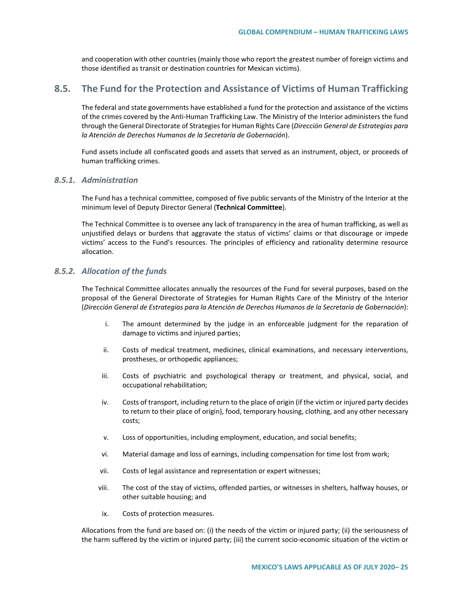and cooperation with other countries (mainly those who report the greatest number of foreign victims and those identified as transit or destination countries for Mexican victims).

## **8.5. The Fund for the Protection and Assistance of Victims of Human Trafficking**

The federal and state governments have established a fund for the protection and assistance of the victims of the crimes covered by the Anti-Human Trafficking Law. The Ministry of the Interior administers the fund through the General Directorate of Strategies for Human Rights Care (*Dirección General de Estrategias para la Atención de Derechos Humanos de la Secretaría de Gobernación*).

Fund assets include all confiscated goods and assets that served as an instrument, object, or proceeds of human trafficking crimes.

### *8.5.1. Administration*

The Fund has a technical committee, composed of five public servants of the Ministry of the Interior at the minimum level of Deputy Director General (**Technical Committee**).

The Technical Committee is to oversee any lack of transparency in the area of human trafficking, as well as unjustified delays or burdens that aggravate the status of victims' claims or that discourage or impede victims' access to the Fund's resources. The principles of efficiency and rationality determine resource allocation.

### *8.5.2. Allocation of the funds*

The Technical Committee allocates annually the resources of the Fund for several purposes, based on the proposal of the General Directorate of Strategies for Human Rights Care of the Ministry of the Interior (*Dirección General de Estrategias para la Atención de Derechos Humanos de la Secretaría de Gobernación*):

- i. The amount determined by the judge in an enforceable judgment for the reparation of damage to victims and injured parties;
- ii. Costs of medical treatment, medicines, clinical examinations, and necessary interventions, prostheses, or orthopedic appliances;
- iii. Costs of psychiatric and psychological therapy or treatment, and physical, social, and occupational rehabilitation;
- iv. Costs of transport, including return to the place of origin (if the victim or injured party decides to return to their place of origin), food, temporary housing, clothing, and any other necessary costs;
- v. Loss of opportunities, including employment, education, and social benefits;
- vi. Material damage and loss of earnings, including compensation for time lost from work;
- vii. Costs of legal assistance and representation or expert witnesses;
- viii. The cost of the stay of victims, offended parties, or witnesses in shelters, halfway houses, or other suitable housing; and
- ix. Costs of protection measures.

Allocations from the fund are based on: (i) the needs of the victim or injured party; (ii) the seriousness of the harm suffered by the victim or injured party; (iii) the current socio-economic situation of the victim or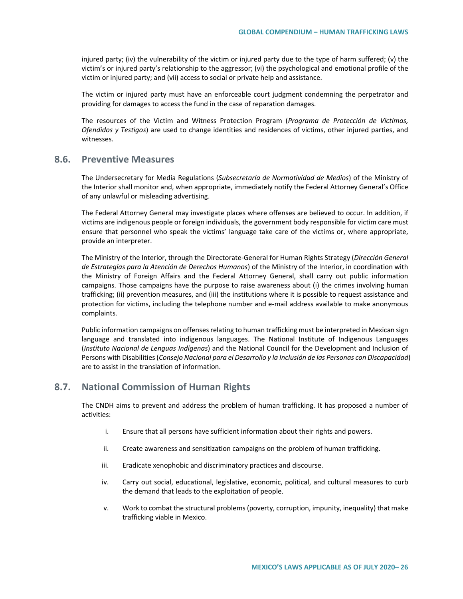injured party; (iv) the vulnerability of the victim or injured party due to the type of harm suffered; (v) the victim's or injured party's relationship to the aggressor; (vi) the psychological and emotional profile of the victim or injured party; and (vii) access to social or private help and assistance.

The victim or injured party must have an enforceable court judgment condemning the perpetrator and providing for damages to access the fund in the case of reparation damages.

The resources of the Victim and Witness Protection Program (*Programa de Protección de Víctimas, Ofendidos y Testigos*) are used to change identities and residences of victims, other injured parties, and witnesses.

## **8.6. Preventive Measures**

The Undersecretary for Media Regulations (*Subsecretaría de Normatividad de Medios*) of the Ministry of the Interior shall monitor and, when appropriate, immediately notify the Federal Attorney General's Office of any unlawful or misleading advertising.

The Federal Attorney General may investigate places where offenses are believed to occur. In addition, if victims are indigenous people or foreign individuals, the government body responsible for victim care must ensure that personnel who speak the victims' language take care of the victims or, where appropriate, provide an interpreter.

The Ministry of the Interior, through the Directorate-General for Human Rights Strategy (*Dirección General de Estrategias para la Atención de Derechos Humanos*) of the Ministry of the Interior, in coordination with the Ministry of Foreign Affairs and the Federal Attorney General, shall carry out public information campaigns. Those campaigns have the purpose to raise awareness about (i) the crimes involving human trafficking; (ii) prevention measures, and (iii) the institutions where it is possible to request assistance and protection for victims, including the telephone number and e-mail address available to make anonymous complaints.

Public information campaigns on offenses relating to human trafficking must be interpreted in Mexican sign language and translated into indigenous languages. The National Institute of Indigenous Languages (*Instituto Nacional de Lenguas Indígenas*) and the National Council for the Development and Inclusion of Persons with Disabilities (*Consejo Nacional para el Desarrollo y la Inclusión de las Personas con Discapacidad*) are to assist in the translation of information.

## **8.7. National Commission of Human Rights**

The CNDH aims to prevent and address the problem of human trafficking. It has proposed a number of activities:

- i. Ensure that all persons have sufficient information about their rights and powers.
- ii. Create awareness and sensitization campaigns on the problem of human trafficking.
- iii. Eradicate xenophobic and discriminatory practices and discourse.
- iv. Carry out social, educational, legislative, economic, political, and cultural measures to curb the demand that leads to the exploitation of people.
- v. Work to combat the structural problems (poverty, corruption, impunity, inequality) that make trafficking viable in Mexico.